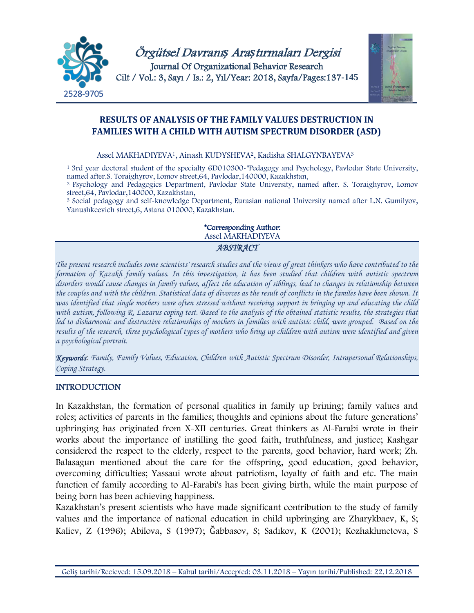

# **RESULTS OF ANALYSIS OF THE FAMILY VALUES DESTRUCTION IN FAMILIES WITH A CHILD WITH AUTISM SPECTRUM DISORDER (ASD)**

#### Assel MAKHADIYEVA1, Ainash KUDYSHEVA2, Kadisha SHALGYNBAYEVA<sup>3</sup>

<sup>1</sup> 3rd year doctoral student of the specialty 6D010300-"Pedagogy and Psychology, Pavlodar State University, named after.S. Toraighyrov, Lomov street,64, Pavlodar,140000, Kazakhstan,

<sup>2</sup> Psychology and Pedagogics Department, Pavlodar State University, named after. S. Toraighyrov, Lomov street,64, Pavlodar,140000, Kazakhstan,

<sup>3</sup> Social pedagogy and self-knowledge Department, Eurasian national University named after L.N. Gumilyov, Yanushkeevich street,6, Astana 010000, Kazakhstan.

#### \*Corresponding Author: Assel MAKHADIYEVA *ABSTRACT*

*The present research includes some scientists' research studies and the views of great thinkers who have contributed to the formation of Kazakh family values. In this investigation, it has been studied that children with autistic spectrum disorders would cause changes in family values, affect the education of siblings, lead to changes in relationship between the couples and with the children. Statistical data of divorces as the result of conflicts in the familes have been shown. It was identified that single mothers were often stressed without receiving support in bringing up and educating the child with autism, following R. Lazarus coping test. Based to the analysis of the obtained statistic results, the strategies that led to disharmonic and destructive relationships of mothers in families with autistic child, were grouped. Based on the results of the research, three psychological types of mothers who bring up children with autism were identified and given a psychological portrait.*

*Keywords*: *Family, Family Values, Education, Children with Autistic Spectrum Disorder, Intrapersonal Relationships, Coping Strategy.*

#### INTRODUCTION

In Kazakhstan, the formation of personal qualities in family up brining; family values and roles; activities of parents in the families; thoughts and opinions about the future generations' upbringing has originated from X-XII centuries. Great thinkers as Al-Farabi wrote in their works about the importance of instilling the good faith, truthfulness, and justice; Kashgar considered the respect to the elderly, respect to the parents, good behavior, hard work; Zh. Balasagun mentioned about the care for the offspring, good education, good behavior, overcoming difficulties; Yassaui wrote about patriotism, loyalty of faith and etc. The main function of family according to Al-Farabi's has been giving birth, while the main purpose of being born has been achieving happiness.

Kazakhstan's present scientists who have made significant contribution to the study of family values and the importance of national education in child upbringing are Zharykbaev, K, S; Kaliev, Z (1996); Abilova, S (1997); Ğabbasov, S; Sadıkov, K (2001); Kozhakhmetova, S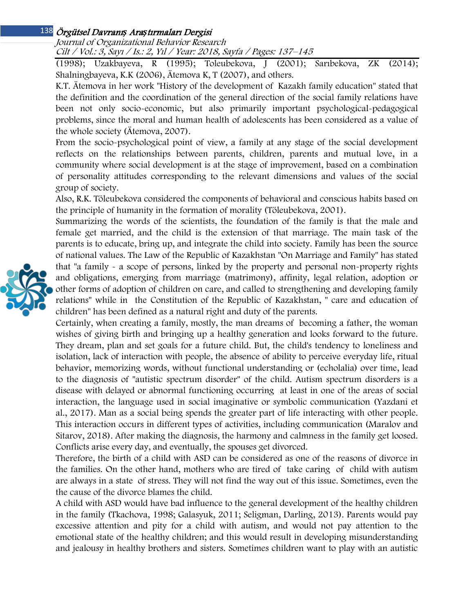### Örgütsel Davranı*ş* Ara*ş*tırmaları Dergisi 138

Journal of Organizational Behavior Research Cilt / Vol.: 3, Sayı / Is.: 2, Yıl / Year: 2018, Sayfa / Pages: 137–145

(1998); Uzakbayeva, R (1995); Toleubekova, J (2001); Sarıbekova, ZK (2014); Shalningbayeva, K.K (2006), Ätemova K, T (2007), and others.

K.T. Ätemova in her work "History of the development of Kazakh family education" stated that the definition and the coordination of the general direction of the social family relations have been not only socio-economic, but also primarily important psychological-pedagogical problems, since the moral and human health of adolescents has been considered as a value of the whole society (Ätemova, 2007).

From the socio-psychological point of view, a family at any stage of the social development reflects on the relationships between parents, children, parents and mutual love, in a community where social development is at the stage of improvement, based on a combination of personality attitudes corresponding to the relevant dimensions and values of the social group of society.

Also, R.K. Töleubekova considered the components of behavioral and conscious habits based on the principle of humanity in the formation of morality (Töleubekova, 2001).

Summarizing the words of the scientists, the foundation of the family is that the male and female get married, and the child is the extension of that marriage. The main task of the parents is to educate, bring up, and integrate the child into society. Family has been the source of national values. The Law of the Republic of Kazakhstan "On Marriage and Family" has stated that "a family - a scope of persons, linked by the property and personal non-property rights and obligations, emerging from marriage (matrimony), affinity, legal relation, adoption or other forms of adoption of children on care, and called to strengthening and developing family relations" while in the Constitution of the Republic of Kazakhstan, " care and education of children" has been defined as a natural right and duty of the parents.

Certainly, when creating a family, mostly, the man dreams of becoming a father, the woman wishes of giving birth and bringing up a healthy generation and looks forward to the future. They dream, plan and set goals for a future child. But, the child's tendency to loneliness and isolation, lack of interaction with people, the absence of ability to perceive everyday life, ritual behavior, memorizing words, without functional understanding or (echolalia) over time, lead to the diagnosis of "autistic spectrum disorder" of the child. Autism spectrum disorders is a disease with delayed or abnormal functioning occurring at least in one of the areas of social interaction, the language used in social imaginative or symbolic communication (Yazdani et al., 2017). Man as a social being spends the greater part of life interacting with other people. This interaction occurs in different types of activities, including communication (Maralov and Sitarov, 2018). After making the diagnosis, the harmony and calmness in the family get loosed. Conflicts arise every day, and eventually, the spouses get divorced.

Therefore, the birth of a child with ASD can be considered as one of the reasons of divorce in the families. On the other hand, mothers who are tired of take caring of child with autism are always in a state of stress. They will not find the way out of this issue. Sometimes, even the the cause of the divorce blames the child.

A child with ASD would have bad influence to the general development of the healthy children in the family (Tkachova, 1998; Galasyuk, 2011; Seligman, Darling, 2013). Parents would pay excessive attention and pity for a child with autism, and would not pay attention to the emotional state of the healthy children; and this would result in developing misunderstanding and jealousy in healthy brothers and sisters. Sometimes children want to play with an autistic

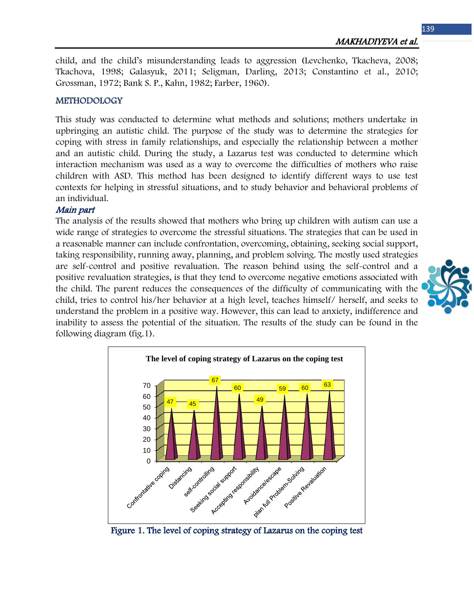child, and the child's misunderstanding leads to aggression (Levchenko, Tkacheva, 2008; Tkachova, 1998; Galasyuk, 2011; Seligman, Darling, 2013; Constantino et al., 2010; Grossman, 1972; Bank S. P., Kahn, 1982; Farber, 1960).

### METHODOLOGY

This study was conducted to determine what methods and solutions; mothers undertake in upbringing an autistic child. The purpose of the study was to determine the strategies for coping with stress in family relationships, and especially the relationship between a mother and an autistic child. During the study, a Lazarus test was conducted to determine which interaction mechanism was used as a way to overcome the difficulties of mothers who raise children with ASD. This method has been designed to identify different ways to use test contexts for helping in stressful situations, and to study behavior and behavioral problems of an individual.

#### Main part

The analysis of the results showed that mothers who bring up children with autism can use a wide range of strategies to overcome the stressful situations. The strategies that can be used in a reasonable manner can include confrontation, overcoming, obtaining, seeking social support, taking responsibility, running away, planning, and problem solving. The mostly used strategies are self-control and positive revaluation. The reason behind using the self-control and a positive revaluation strategies, is that they tend to overcome negative emotions associated with the child. The parent reduces the consequences of the difficulty of communicating with the child, tries to control his/her behavior at a high level, teaches himself/ herself, and seeks to understand the problem in a positive way. However, this can lead to anxiety, indifference and inability to assess the potential of the situation. The results of the study can be found in the following diagram (fig.1).



Figure 1. The level of coping strategy of Lazarus on the coping test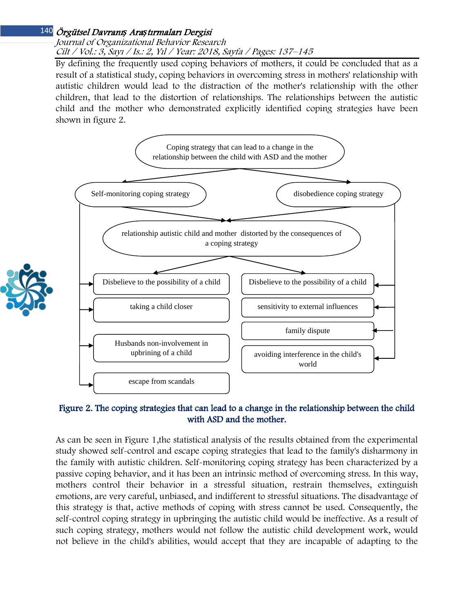# Örgütsel Davranı*ş* Ara*ş*tırmaları Dergisi 140

Journal of Organizational Behavior Research Cilt / Vol.: 3, Sayı / Is.: 2, Yıl / Year: 2018, Sayfa / Pages: 137–145

By defining the frequently used coping behaviors of mothers, it could be concluded that as a result of a statistical study, coping behaviors in overcoming stress in mothers' relationship with autistic children would lead to the distraction of the mother's relationship with the other children, that lead to the distortion of relationships. The relationships between the autistic child and the mother who demonstrated explicitly identified coping strategies have been shown in figure 2.



# Figure 2. The coping strategies that can lead to a change in the relationship between the child with ASD and the mother.

As can be seen in Figure 1,the statistical analysis of the results obtained from the experimental study showed self-control and escape coping strategies that lead to the family's disharmony in the family with autistic children. Self-monitoring coping strategy has been characterized by a passive coping behavior, and it has been an intrinsic method of overcoming stress. In this way, mothers control their behavior in a stressful situation, restrain themselves, extinguish emotions, are very careful, unbiased, and indifferent to stressful situations. The disadvantage of this strategy is that, active methods of coping with stress cannot be used. Consequently, the self-control coping strategy in upbringing the autistic child would be ineffective. As a result of such coping strategy, mothers would not follow the autistic child development work, would not believe in the child's abilities, would accept that they are incapable of adapting to the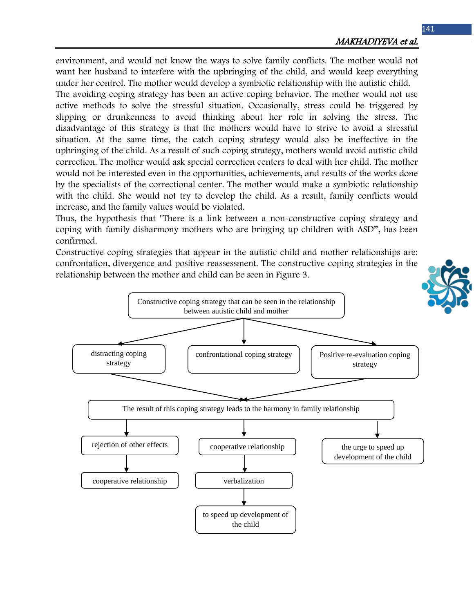environment, and would not know the ways to solve family conflicts. The mother would not want her husband to interfere with the upbringing of the child, and would keep everything under her control. The mother would develop a symbiotic relationship with the autistic child.

The avoiding coping strategy has been an active coping behavior. The mother would not use active methods to solve the stressful situation. Occasionally, stress could be triggered by slipping or drunkenness to avoid thinking about her role in solving the stress. The disadvantage of this strategy is that the mothers would have to strive to avoid a stressful situation. At the same time, the catch coping strategy would also be ineffective in the upbringing of the child. As a result of such coping strategy, mothers would avoid autistic child correction. The mother would ask special correction centers to deal with her child. The mother would not be interested even in the opportunities, achievements, and results of the works done by the specialists of the correctional center. The mother would make a symbiotic relationship with the child. She would not try to develop the child. As a result, family conflicts would increase, and the family values would be violated.

Thus, the hypothesis that "There is a link between a non-constructive coping strategy and coping with family disharmony mothers who are bringing up children with ASD", has been confirmed.

Constructive coping strategies that appear in the autistic child and mother relationships are: confrontation, divergence and positive reassessment. The constructive coping strategies in the relationship between the mother and child can be seen in Figure 3.

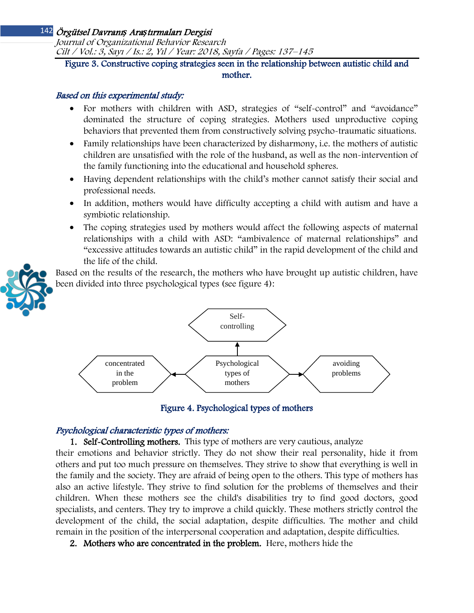# Örgütsel Davranı*ş* Ara*ş*tırmaları Dergisi 142

Journal of Organizational Behavior Research Cilt / Vol.: 3, Sayı / Is.: 2, Yıl / Year: 2018, Sayfa / Pages: 137–145

# Figure 3. Constructive coping strategies seen in the relationship between autistic child and mother.

### Based on this experimental study:

- For mothers with children with ASD, strategies of "self-control" and "avoidance" dominated the structure of coping strategies. Mothers used unproductive coping behaviors that prevented them from constructively solving psycho-traumatic situations.
- Family relationships have been characterized by disharmony, i.e. the mothers of autistic children are unsatisfied with the role of the husband, as well as the non-intervention of the family functioning into the educational and household spheres.
- Having dependent relationships with the child's mother cannot satisfy their social and professional needs.
- In addition, mothers would have difficulty accepting a child with autism and have a symbiotic relationship.
- The coping strategies used by mothers would affect the following aspects of maternal relationships with a child with ASD: "ambivalence of maternal relationships" and "excessive attitudes towards an autistic child" in the rapid development of the child and the life of the child.

Based on the results of the research, the mothers who have brought up autistic children, have been divided into three psychological types (see figure 4):



Figure 4. Psychological types of mothers

### Psychological characteristic types of mothers:

1. Self-Controlling mothers. This type of mothers are very cautious, analyze

their emotions and behavior strictly. They do not show their real personality, hide it from others and put too much pressure on themselves. They strive to show that everything is well in the family and the society. They are afraid of being open to the others. This type of mothers has also an active lifestyle. They strive to find solution for the problems of themselves and their children. When these mothers see the child's disabilities try to find good doctors, good specialists, and centers. They try to improve a child quickly. These mothers strictly control the development of the child, the social adaptation, despite difficulties. The mother and child remain in the position of the interpersonal cooperation and adaptation, despite difficulties.

2. Mothers who are concentrated in the problem. Here, mothers hide the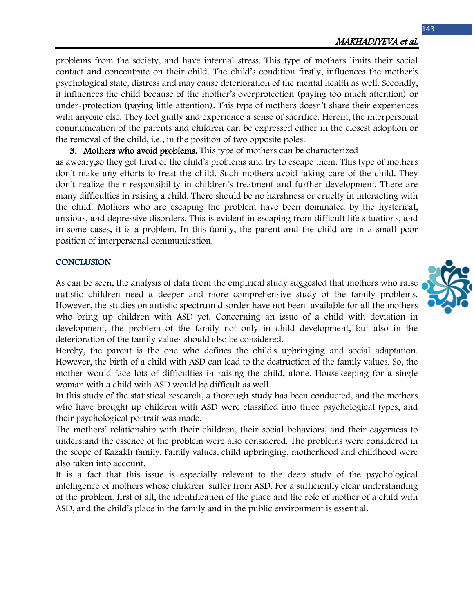problems from the society, and have internal stress. This type of mothers limits their social contact and concentrate on their child. The child's condition firstly, influences the mother's psychological state, distress and may cause deterioration of the mental health as well. Secondly, it influences the child because of the mother's overprotection (paying too much attention) or under-protection (paying little attention). This type of mothers doesn't share their experiences with anyone else. They feel guilty and experience a sense of sacrifice. Herein, the interpersonal communication of the parents and children can be expressed either in the closest adoption or the removal of the child, i.e., in the position of two opposite poles.

3. Mothers who avoid problems. This type of mothers can be characterized

as aweary,so they get tired of the child's problems and try to escape them. This type of mothers don't make any efforts to treat the child. Such mothers avoid taking care of the child. They don't realize their responsibility in children's treatment and further development. There are many difficulties in raising a child. There should be no harshness or cruelty in interacting with the child. Mothers who are escaping the problem have been dominated by the hysterical, anxious, and depressive disorders. This is evident in escaping from difficult life situations, and in some cases, it is a problem. In this family, the parent and the child are in a small poor position of interpersonal communication.

### **CONCLUSION**

As can be seen, the analysis of data from the empirical study suggested that mothers who raise autistic children need a deeper and more comprehensive study of the family problems. However, the studies on autistic spectrum disorder have not been available for all the mothers who bring up children with ASD yet. Concerning an issue of a child with deviation in development, the problem of the family not only in child development, but also in the deterioration of the family values should also be considered.

Hereby, the parent is the one who defines the child's upbringing and social adaptation. However, the birth of a child with ASD can lead to the destruction of the family values. So, the mother would face lots of difficulties in raising the child, alone. Housekeeping for a single woman with a child with ASD would be difficult as well.

In this study of the statistical research, a thorough study has been conducted, and the mothers who have brought up children with ASD were classified into three psychological types, and their psychological portrait was made.

The mothers' relationship with their children, their social behaviors, and their eagerness to understand the essence of the problem were also considered. The problems were considered in the scope of Kazakh family. Family values, child upbringing, motherhood and childhood were also taken into account.

It is a fact that this issue is especially relevant to the deep study of the psychological intelligence of mothers whose children suffer from ASD. For a sufficiently clear understanding of the problem, first of all, the identification of the place and the role of mother of a child with ASD, and the child's place in the family and in the public environment is essential.

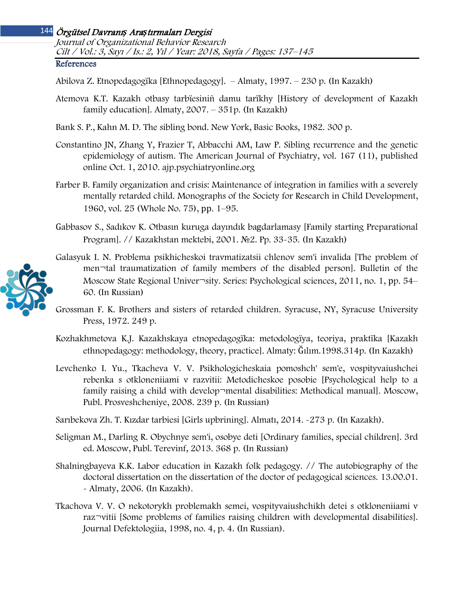# Örgütsel Davranı*ş* Ara*ş*tırmaları Dergisi 144 Journal of Organizational Behavior Research Cilt / Vol.: 3, Sayı / Is.: 2, Yıl / Year: 2018, Sayfa / Pages: 137–145

#### References

Abilova Z. Etnopedagogïka [Ethnopedagogy]. – Almaty, 1997. – 230 p. (In Kazakh)

Atemova K.T. Kazakh otbasy tarbïesiniñ damu tarïkhy [History of development of Kazakh family education]. Almaty, 2007. – 351p. (In Kazakh)

Bank S. P., Kahn M. D. The sibling bond. New York, Basic Books, 1982. 300 p.

- Constantino JN, Zhang Y, Frazier T, Abbacchi AM, Law P. Sibling recurrence and the genetic epidemiology of autism. The American Journal of Psychiatry, vol. 167 (11), published online Oct. 1, 2010. ajp.psychiatryonline.org
- Farber B. Family organization and crisis: Maintenance of integration in families with a severely mentally retarded child. Monographs of the Society for Research in Child Development, 1960, vol. 25 (Whole No. 75), рр. 1–95.
- Gabbasov S., Sadıkov K. Otbasın kuruga dayındık bagdarlamasy [Family starting Preparational Program]. // Kazakhstan mektebi, 2001. №2. Pp. 33-35. (In Kazakh)
- Galasyuk I. N. Problema psikhicheskoi travmatizatsii chlenov sem'i invalida [The problem of men¬tal traumatization of family members of the disabled person]. Bulletin of the Moscow State Regional Univer¬sity. Series: Psychological sciences, 2011, no. 1, рp. 54– 60. (In Russian)
- Grossman F. K. Brothers and sisters of retarded children. Syracuse, NY, Syracuse University Press, 1972. 249 p.
- Kozhakhmetova K.J. Kazakhskaya etnopedagogïka: metodologïya, teoriya, praktïka [Kazakh ethnopedagogy: methodology, theory, practice]. Almaty: Ğılım.1998.314p. (In Kazakh)
- Levchenko I. Yu., Tkacheva V. V. Psikhologicheskaia pomoshch' sem'e, vospityvaiushchei rebenka s otkloneniiami v razvitii: Metodicheskoe posobie [Psychological help to a family raising a child with develop¬mental disabilities: Methodical manual]. Moscow, Publ. Prosveshcheniye, 2008. 239 p. (In Russian)

Sarıbekova Zh. T. Kızdar tarbiesi [Girls upbrining]. Almatı, 2014. -273 p. (In Kazakh).

- Seligman M., Darling R. Obychnye sem'i, osobye deti [Ordinary families, special children]. 3rd ed. Moscow, Publ. Terevinf, 2013. 368 p. (In Russian)
- Shalningbayeva K.K. Labor education in Kazakh folk pedagogy. // The autobiography of the doctoral dissertation on the dissertation of the doctor of pedagogical sciences. 13.00.01. - Almaty, 2006. (In Kazakh).
- Tkachova V. V. O nekotorykh problemakh semei, vospityvaiushchikh detei s otkloneniiami v raz¬vitii [Some problems of families raising children with developmental disabilities]. Journal Defektologiia, 1998, no. 4, p. 4. (In Russian).